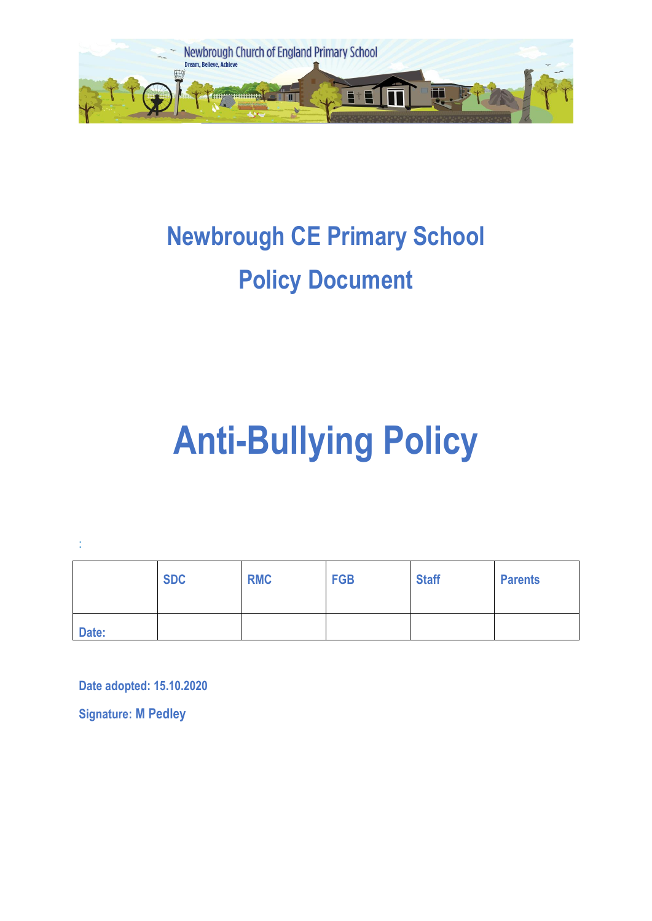

# **Newbrough CE Primary School Policy Document**

# **Anti-Bullying Policy**

:

|       | <b>SDC</b> | <b>RMC</b> | <b>FGB</b> | <b>Staff</b> | <b>Parents</b> |
|-------|------------|------------|------------|--------------|----------------|
| Date: |            |            |            |              |                |

**Date adopted: 15.10.2020**

**Signature: M Pedley**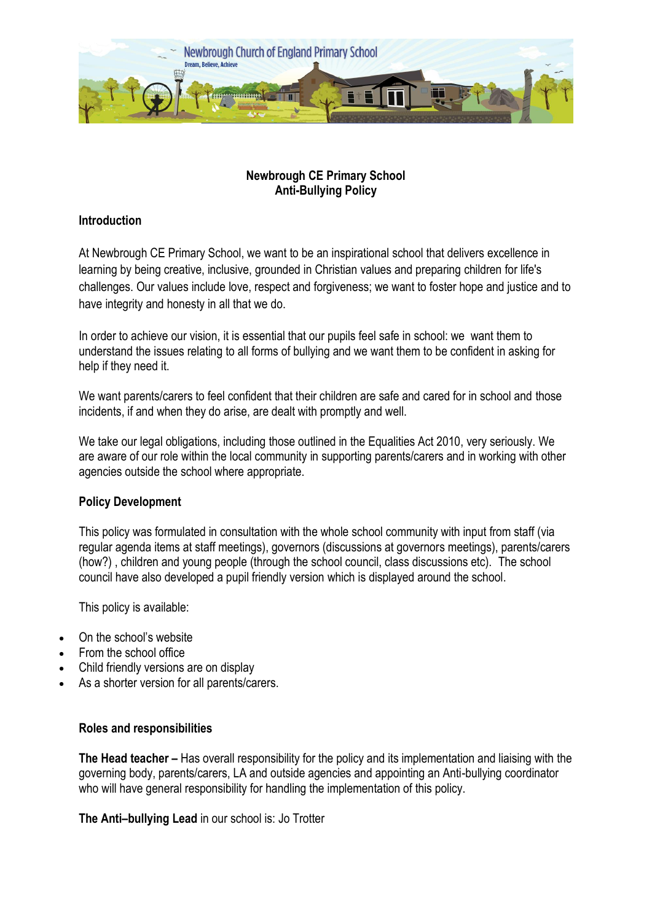

# **Newbrough CE Primary School Anti-Bullying Policy**

# **Introduction**

At Newbrough CE Primary School, we want to be an inspirational school that delivers excellence in learning by being creative, inclusive, grounded in Christian values and preparing children for life's challenges. Our values include love, respect and forgiveness; we want to foster hope and justice and to have integrity and honesty in all that we do.

In order to achieve our vision, it is essential that our pupils feel safe in school: we want them to understand the issues relating to all forms of bullying and we want them to be confident in asking for help if they need it.

We want parents/carers to feel confident that their children are safe and cared for in school and those incidents, if and when they do arise, are dealt with promptly and well.

We take our legal obligations, including those outlined in the Equalities Act 2010, very seriously. We are aware of our role within the local community in supporting parents/carers and in working with other agencies outside the school where appropriate.

# **Policy Development**

This policy was formulated in consultation with the whole school community with input from staff (via regular agenda items at staff meetings), governors (discussions at governors meetings), parents/carers (how?) , children and young people (through the school council, class discussions etc). The school council have also developed a pupil friendly version which is displayed around the school.

This policy is available:

- On the school's website
- From the school office
- Child friendly versions are on display
- As a shorter version for all parents/carers.

# **Roles and responsibilities**

**The Head teacher –** Has overall responsibility for the policy and its implementation and liaising with the governing body, parents/carers, LA and outside agencies and appointing an Anti-bullying coordinator who will have general responsibility for handling the implementation of this policy.

**The Anti–bullying Lead** in our school is: Jo Trotter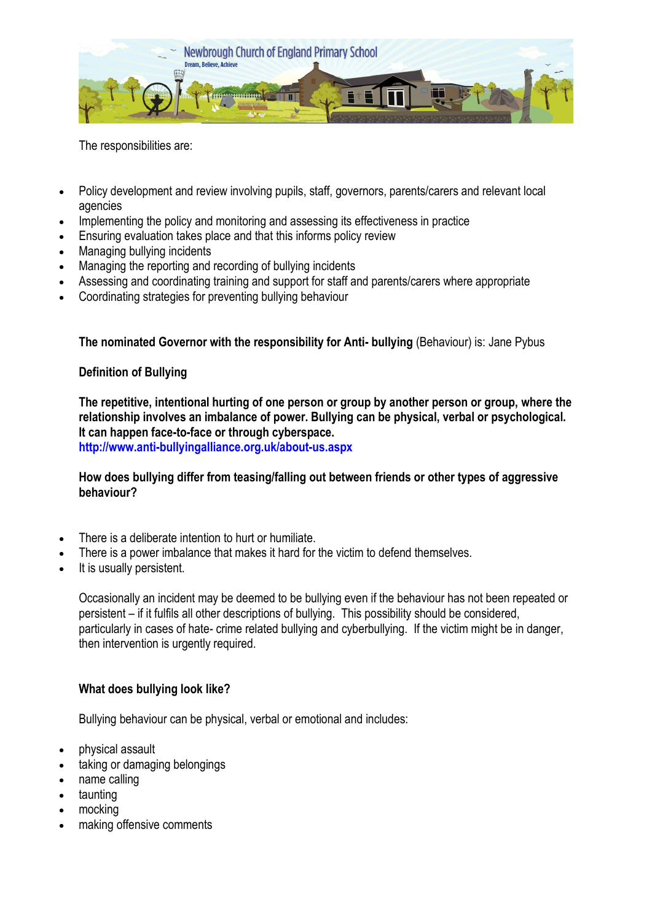

The responsibilities are:

- Policy development and review involving pupils, staff, governors, parents/carers and relevant local agencies
- Implementing the policy and monitoring and assessing its effectiveness in practice
- Ensuring evaluation takes place and that this informs policy review
- Managing bullying incidents
- Managing the reporting and recording of bullying incidents
- Assessing and coordinating training and support for staff and parents/carers where appropriate
- Coordinating strategies for preventing bullying behaviour

**The nominated Governor with the responsibility for Anti- bullying** (Behaviour) is: Jane Pybus

## **Definition of Bullying**

**The repetitive, intentional hurting of one person or group by another person or group, where the relationship involves an imbalance of power. Bullying can be physical, verbal or psychological. It can happen face-to-face or through cyberspace.**

**<http://www.anti-bullyingalliance.org.uk/about-us.aspx>**

**How does bullying differ from teasing/falling out between friends or other types of aggressive behaviour?** 

- There is a deliberate intention to hurt or humiliate.
- There is a power imbalance that makes it hard for the victim to defend themselves.
- It is usually persistent.

Occasionally an incident may be deemed to be bullying even if the behaviour has not been repeated or persistent – if it fulfils all other descriptions of bullying. This possibility should be considered, particularly in cases of hate- crime related bullying and cyberbullying. If the victim might be in danger, then intervention is urgently required.

#### **What does bullying look like?**

Bullying behaviour can be physical, verbal or emotional and includes:

- physical assault
- taking or damaging belongings
- name calling
- taunting
- mocking
- making offensive comments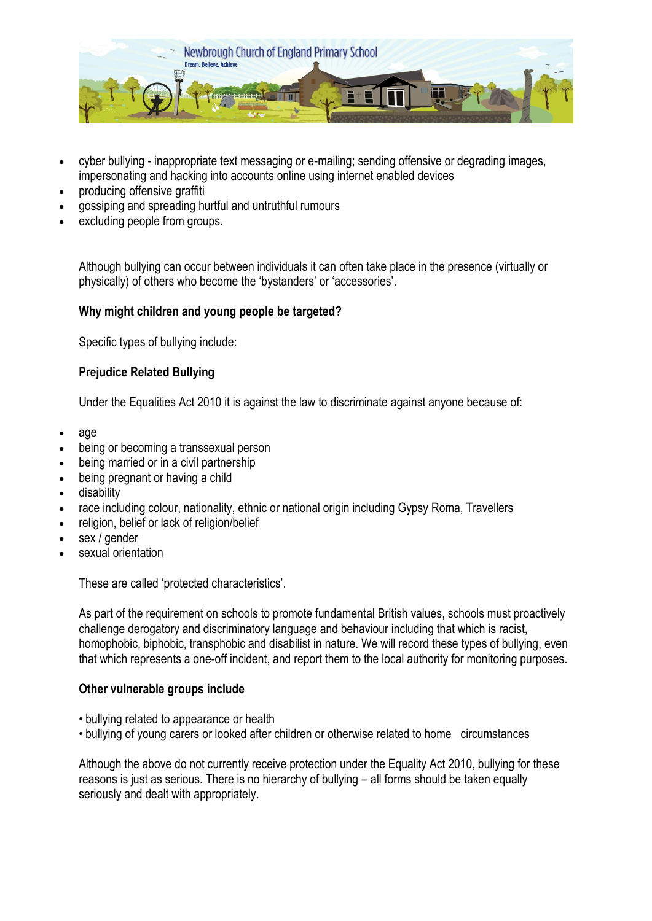

- cyber bullying inappropriate text messaging or e-mailing; sending offensive or degrading images, impersonating and hacking into accounts online using internet enabled devices
- producing offensive graffiti
- gossiping and spreading hurtful and untruthful rumours
- excluding people from groups.

Although bullying can occur between individuals it can often take place in the presence (virtually or physically) of others who become the 'bystanders' or 'accessories'.

# **Why might children and young people be targeted?**

Specific types of bullying include:

# **Prejudice Related Bullying**

Under the Equalities Act 2010 it is against the law to discriminate against anyone because of:

- age
- being or becoming a transsexual person
- being married or in a civil partnership
- being pregnant or having a child
- disability
- race including colour, nationality, ethnic or national origin including Gypsy Roma, Travellers
- religion, belief or lack of religion/belief
- sex / gender
- sexual orientation

These are called 'protected characteristics'.

As part of the requirement on schools to promote fundamental British values, schools must proactively challenge derogatory and discriminatory language and behaviour including that which is racist, homophobic, biphobic, transphobic and disabilist in nature. We will record these types of bullying, even that which represents a one-off incident, and report them to the local authority for monitoring purposes.

# **Other vulnerable groups include**

- bullying related to appearance or health
- bullying of young carers or looked after children or otherwise related to home circumstances

Although the above do not currently receive protection under the Equality Act 2010, bullying for these reasons is just as serious. There is no hierarchy of bullying – all forms should be taken equally seriously and dealt with appropriately.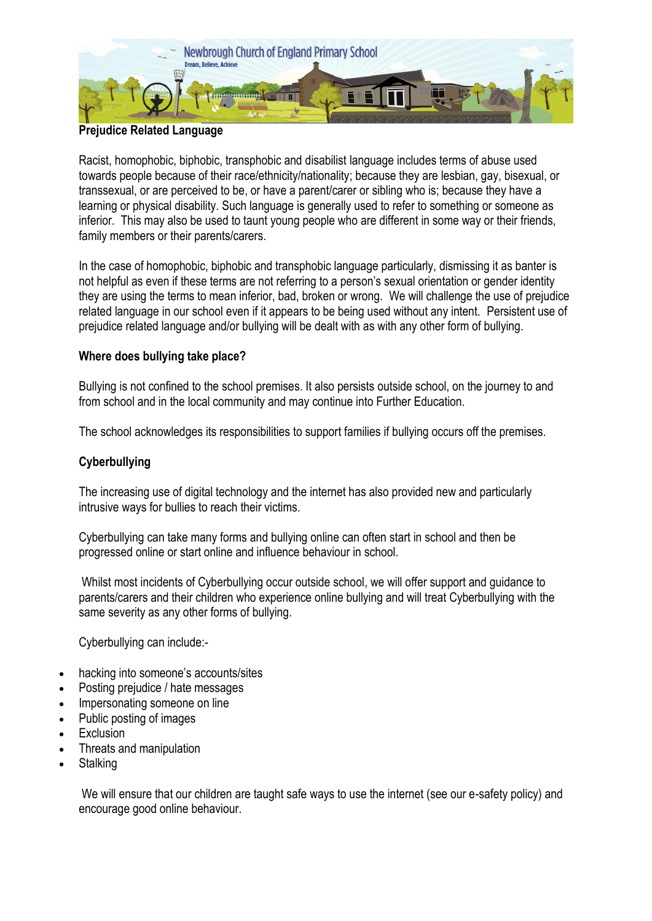

# **Prejudice Related Language**

Racist, homophobic, biphobic, transphobic and disabilist language includes terms of abuse used towards people because of their race/ethnicity/nationality; because they are lesbian, gay, bisexual, or transsexual, or are perceived to be, or have a parent/carer or sibling who is; because they have a learning or physical disability. Such language is generally used to refer to something or someone as inferior. This may also be used to taunt young people who are different in some way or their friends, family members or their parents/carers.

In the case of homophobic, biphobic and transphobic language particularly, dismissing it as banter is not helpful as even if these terms are not referring to a person's sexual orientation or gender identity they are using the terms to mean inferior, bad, broken or wrong. We will challenge the use of prejudice related language in our school even if it appears to be being used without any intent. Persistent use of prejudice related language and/or bullying will be dealt with as with any other form of bullying.

# **Where does bullying take place?**

Bullying is not confined to the school premises. It also persists outside school, on the journey to and from school and in the local community and may continue into Further Education.

The school acknowledges its responsibilities to support families if bullying occurs off the premises.

# **Cyberbullying**

The increasing use of digital technology and the internet has also provided new and particularly intrusive ways for bullies to reach their victims.

Cyberbullying can take many forms and bullying online can often start in school and then be progressed online or start online and influence behaviour in school.

Whilst most incidents of Cyberbullying occur outside school, we will offer support and guidance to parents/carers and their children who experience online bullying and will treat Cyberbullying with the same severity as any other forms of bullying.

Cyberbullying can include:-

- hacking into someone's accounts/sites
- Posting prejudice / hate messages
- Impersonating someone on line
- Public posting of images
- Exclusion
- Threats and manipulation
- **Stalking**

We will ensure that our children are taught safe ways to use the internet (see our e-safety policy) and encourage good online behaviour.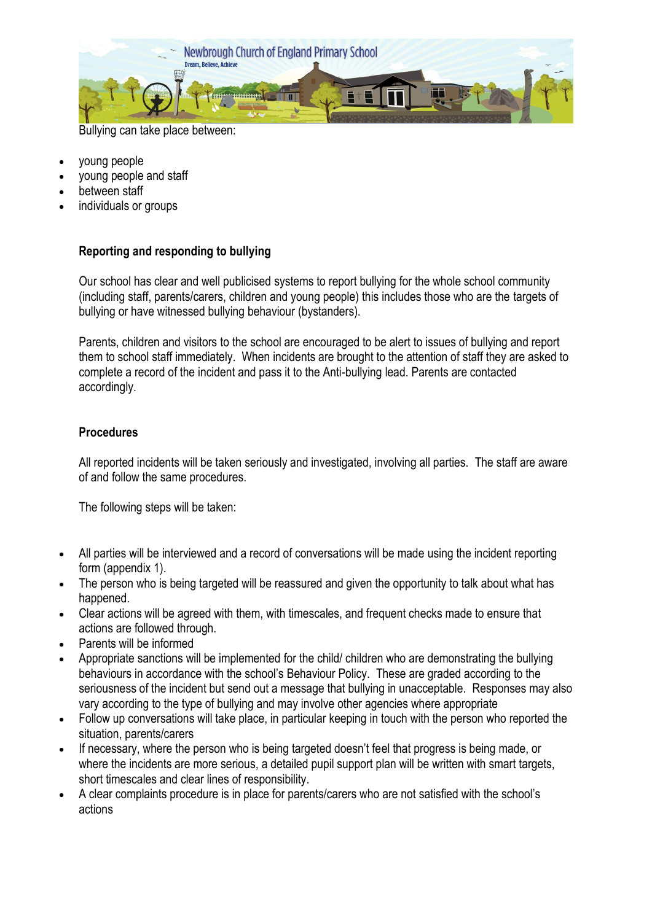

Bullying can take place between:

- young people
- young people and staff
- between staff
- individuals or groups

# **Reporting and responding to bullying**

Our school has clear and well publicised systems to report bullying for the whole school community (including staff, parents/carers, children and young people) this includes those who are the targets of bullying or have witnessed bullying behaviour (bystanders).

Parents, children and visitors to the school are encouraged to be alert to issues of bullying and report them to school staff immediately. When incidents are brought to the attention of staff they are asked to complete a record of the incident and pass it to the Anti-bullying lead. Parents are contacted accordingly.

# **Procedures**

All reported incidents will be taken seriously and investigated, involving all parties. The staff are aware of and follow the same procedures.

The following steps will be taken:

- All parties will be interviewed and a record of conversations will be made using the incident reporting form (appendix 1).
- The person who is being targeted will be reassured and given the opportunity to talk about what has happened.
- Clear actions will be agreed with them, with timescales, and frequent checks made to ensure that actions are followed through.
- Parents will be informed
- Appropriate sanctions will be implemented for the child/ children who are demonstrating the bullying behaviours in accordance with the school's Behaviour Policy. These are graded according to the seriousness of the incident but send out a message that bullying in unacceptable. Responses may also vary according to the type of bullying and may involve other agencies where appropriate
- Follow up conversations will take place, in particular keeping in touch with the person who reported the situation, parents/carers
- If necessary, where the person who is being targeted doesn't feel that progress is being made, or where the incidents are more serious, a detailed pupil support plan will be written with smart targets, short timescales and clear lines of responsibility.
- A clear complaints procedure is in place for parents/carers who are not satisfied with the school's actions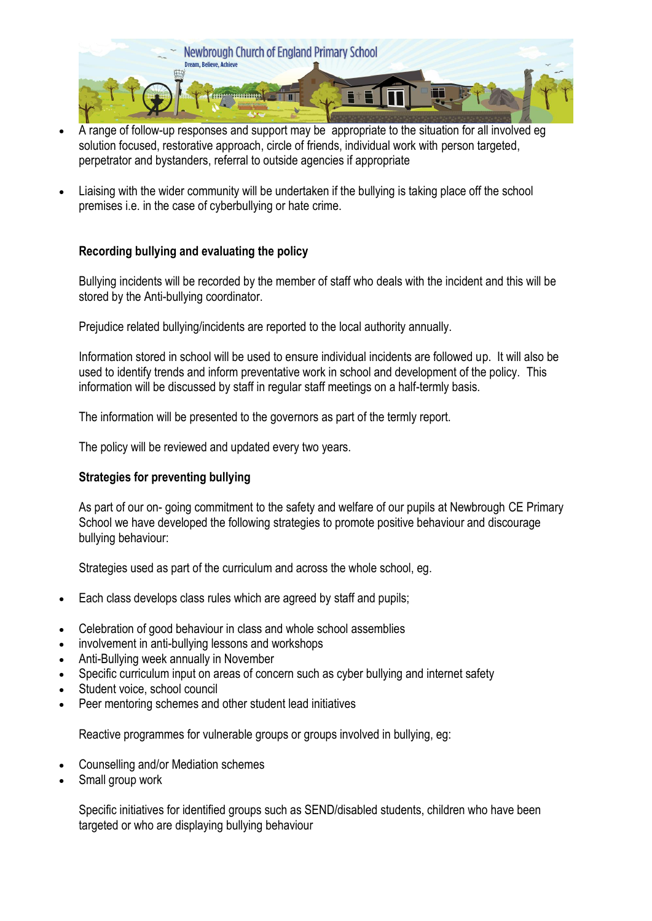

- A range of follow-up responses and support may be appropriate to the situation for all involved eg solution focused, restorative approach, circle of friends, individual work with person targeted, perpetrator and bystanders, referral to outside agencies if appropriate
- Liaising with the wider community will be undertaken if the bullying is taking place off the school premises i.e. in the case of cyberbullying or hate crime.

# **Recording bullying and evaluating the policy**

Bullying incidents will be recorded by the member of staff who deals with the incident and this will be stored by the Anti-bullying coordinator.

Prejudice related bullying/incidents are reported to the local authority annually.

Information stored in school will be used to ensure individual incidents are followed up. It will also be used to identify trends and inform preventative work in school and development of the policy. This information will be discussed by staff in regular staff meetings on a half-termly basis.

The information will be presented to the governors as part of the termly report.

The policy will be reviewed and updated every two years.

# **Strategies for preventing bullying**

As part of our on- going commitment to the safety and welfare of our pupils at Newbrough CE Primary School we have developed the following strategies to promote positive behaviour and discourage bullying behaviour:

Strategies used as part of the curriculum and across the whole school, eg.

- Each class develops class rules which are agreed by staff and pupils;
- Celebration of good behaviour in class and whole school assemblies
- involvement in anti-bullying lessons and workshops
- Anti-Bullying week annually in November
- Specific curriculum input on areas of concern such as cyber bullying and internet safety
- Student voice, school council
- Peer mentoring schemes and other student lead initiatives

Reactive programmes for vulnerable groups or groups involved in bullying, eg:

- Counselling and/or Mediation schemes
- Small group work

Specific initiatives for identified groups such as SEND/disabled students, children who have been targeted or who are displaying bullying behaviour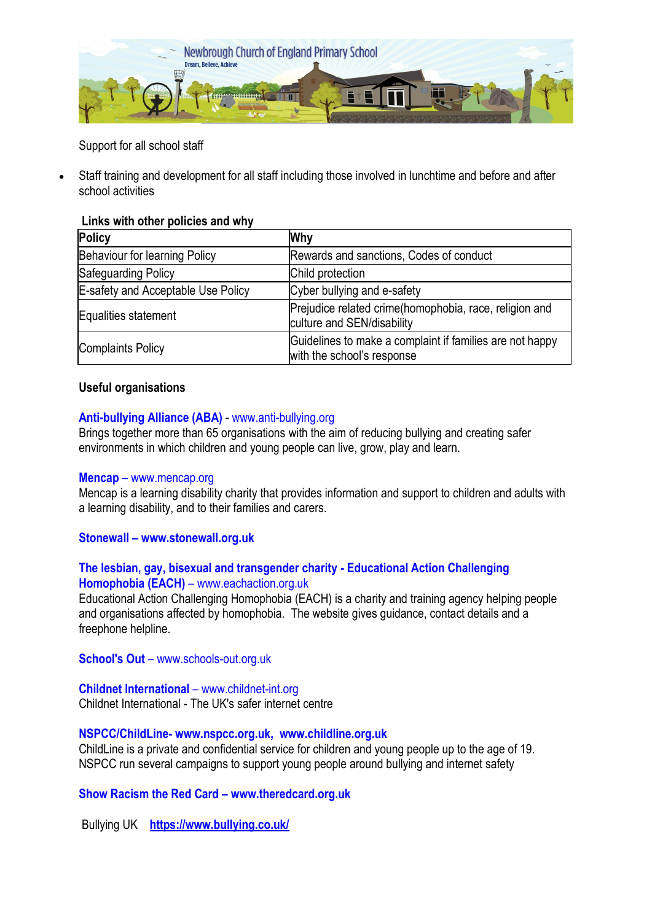

Support for all school staff

 Staff training and development for all staff including those involved in lunchtime and before and after school activities

# **Links with other policies and why**

| Policy                             | <b>Why</b>                                                                             |  |  |
|------------------------------------|----------------------------------------------------------------------------------------|--|--|
| Behaviour for learning Policy      | Rewards and sanctions, Codes of conduct                                                |  |  |
| Safeguarding Policy                | Child protection                                                                       |  |  |
| E-safety and Acceptable Use Policy | Cyber bullying and e-safety                                                            |  |  |
| Equalities statement               | Prejudice related crime(homophobia, race, religion and<br>culture and SEN/disability   |  |  |
| Complaints Policy                  | Guidelines to make a complaint if families are not happy<br>with the school's response |  |  |

# **Useful organisations**

## **Anti-bullying Alliance (ABA)** - [www.anti-bullying.org](http://www.anti-bullying.org/)

Brings together more than 65 organisations with the aim of reducing bullying and creating safer environments in which children and young people can live, grow, play and learn.

#### **[Mencap](http://www.mencap.org.uk/)** – [www.mencap.org](http://www.mencap.org/)

Mencap is a learning disability charity that provides information and support to children and adults with a learning disability, and to their families and carers.

#### **Stonewall – www.stonewall.org.uk**

## **The lesbian, gay, bisexual and transgender charity - Educational Action Challenging Homophobia (EACH)** – [www.eachaction.org.uk](http://www.eachaction.org.uk/)

Educational Action Challenging Homophobia (EACH) is a charity and training agency helping people and organisations affected by homophobia. The website gives guidance, contact details and a freephone helpline.

**[School's Out](http://www.schools-out.org.uk/)** – [www.schools-out.org.uk](http://www.schools-out.org.uk/)

# **[Childnet International](http://childnet-int.org/)** – [www.childnet-int.org](http://www.childnet-int.org/)

Childnet International - The UK's safer internet centre

# **NSPCC/ChildLine- [www.nspcc.org.uk,](http://www.nspcc.org.uk/) [www.childline.org.uk](http://www.childline.org.uk/)**

ChildLine is a private and confidential service for children and young people up to the age of 19. NSPCC run several campaigns to support young people around bullying and internet safety

# **Show Racism the Red Card – [www.theredcard.org.uk](http://www.theredcard.org.uk/)**

Bullying UK **<https://www.bullying.co.uk/>**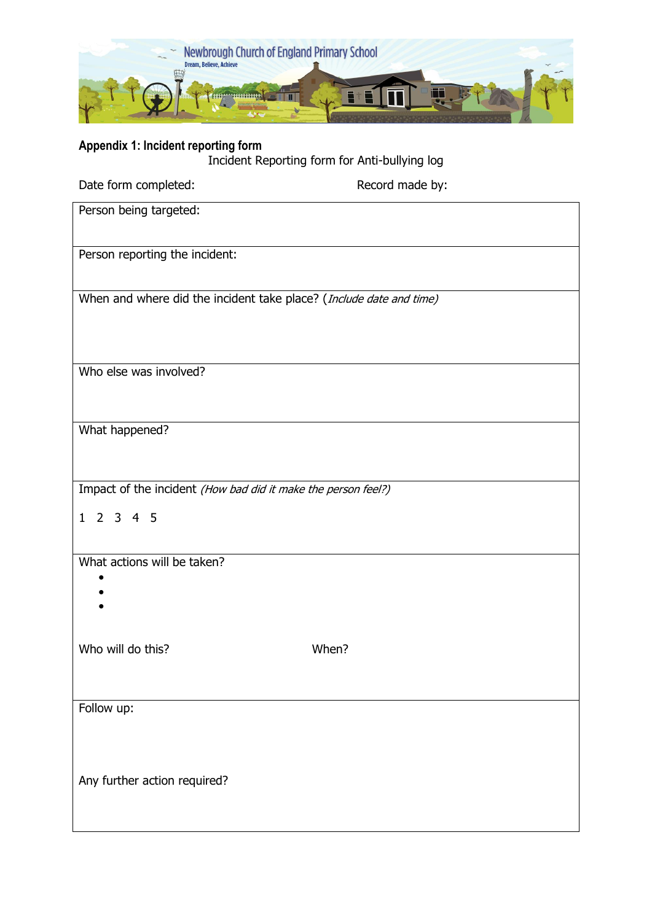

## **Appendix 1: Incident reporting form**

Incident Reporting form for Anti-bullying log

| Date form completed:                                                | Record made by: |  |  |  |  |
|---------------------------------------------------------------------|-----------------|--|--|--|--|
| Person being targeted:                                              |                 |  |  |  |  |
| Person reporting the incident:                                      |                 |  |  |  |  |
| When and where did the incident take place? (Include date and time) |                 |  |  |  |  |
|                                                                     |                 |  |  |  |  |
| Who else was involved?                                              |                 |  |  |  |  |
| What happened?                                                      |                 |  |  |  |  |
| Impact of the incident (How bad did it make the person feel?)       |                 |  |  |  |  |
| 1 2 3 4 5                                                           |                 |  |  |  |  |
| What actions will be taken?                                         |                 |  |  |  |  |
| Who will do this?                                                   | When?           |  |  |  |  |
| Follow up:                                                          |                 |  |  |  |  |
| Any further action required?                                        |                 |  |  |  |  |